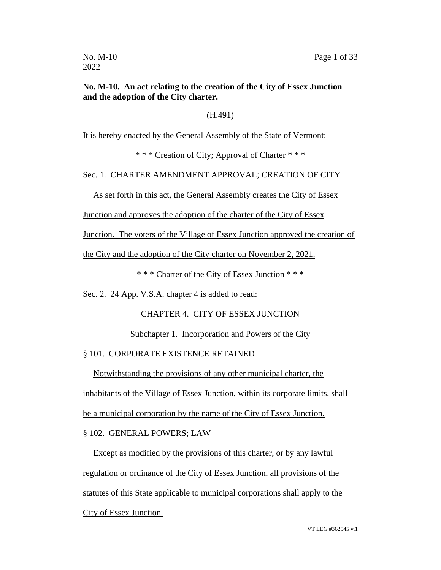# **No. M-10. An act relating to the creation of the City of Essex Junction and the adoption of the City charter.**

(H.491)

It is hereby enacted by the General Assembly of the State of Vermont:

\* \* \* Creation of City; Approval of Charter \* \* \*

Sec. 1. CHARTER AMENDMENT APPROVAL; CREATION OF CITY

As set forth in this act, the General Assembly creates the City of Essex

Junction and approves the adoption of the charter of the City of Essex

Junction. The voters of the Village of Essex Junction approved the creation of

the City and the adoption of the City charter on November 2, 2021.

\* \* \* Charter of the City of Essex Junction \* \* \*

Sec. 2. 24 App. V.S.A. chapter 4 is added to read:

#### CHAPTER 4. CITY OF ESSEX JUNCTION

Subchapter 1. Incorporation and Powers of the City

#### § 101. CORPORATE EXISTENCE RETAINED

Notwithstanding the provisions of any other municipal charter, the

inhabitants of the Village of Essex Junction, within its corporate limits, shall

be a municipal corporation by the name of the City of Essex Junction.

#### § 102. GENERAL POWERS; LAW

Except as modified by the provisions of this charter, or by any lawful regulation or ordinance of the City of Essex Junction, all provisions of the statutes of this State applicable to municipal corporations shall apply to the City of Essex Junction.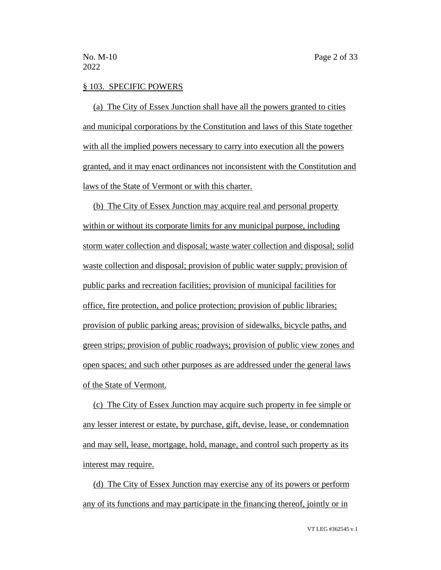#### § 103. SPECIFIC POWERS

(a) The City of Essex Junction shall have all the powers granted to cities and municipal corporations by the Constitution and laws of this State together with all the implied powers necessary to carry into execution all the powers granted, and it may enact ordinances not inconsistent with the Constitution and laws of the State of Vermont or with this charter.

(b) The City of Essex Junction may acquire real and personal property within or without its corporate limits for any municipal purpose, including storm water collection and disposal; waste water collection and disposal; solid waste collection and disposal; provision of public water supply; provision of public parks and recreation facilities; provision of municipal facilities for office, fire protection, and police protection; provision of public libraries; provision of public parking areas; provision of sidewalks, bicycle paths, and green strips; provision of public roadways; provision of public view zones and open spaces; and such other purposes as are addressed under the general laws of the State of Vermont.

(c) The City of Essex Junction may acquire such property in fee simple or any lesser interest or estate, by purchase, gift, devise, lease, or condemnation and may sell, lease, mortgage, hold, manage, and control such property as its interest may require.

(d) The City of Essex Junction may exercise any of its powers or perform any of its functions and may participate in the financing thereof, jointly or in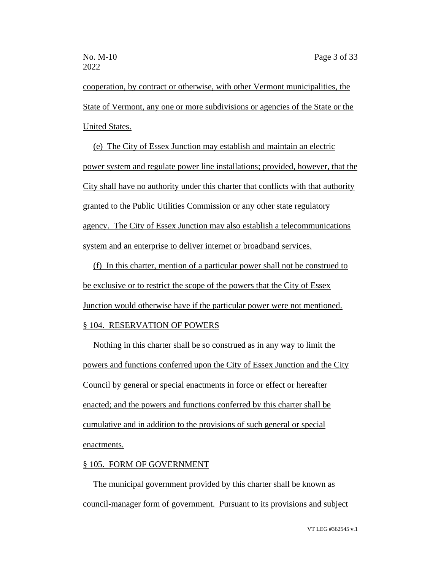cooperation, by contract or otherwise, with other Vermont municipalities, the State of Vermont, any one or more subdivisions or agencies of the State or the United States.

(e) The City of Essex Junction may establish and maintain an electric power system and regulate power line installations; provided, however, that the City shall have no authority under this charter that conflicts with that authority granted to the Public Utilities Commission or any other state regulatory agency. The City of Essex Junction may also establish a telecommunications system and an enterprise to deliver internet or broadband services.

(f) In this charter, mention of a particular power shall not be construed to be exclusive or to restrict the scope of the powers that the City of Essex Junction would otherwise have if the particular power were not mentioned.

# § 104. RESERVATION OF POWERS

Nothing in this charter shall be so construed as in any way to limit the powers and functions conferred upon the City of Essex Junction and the City Council by general or special enactments in force or effect or hereafter enacted; and the powers and functions conferred by this charter shall be cumulative and in addition to the provisions of such general or special enactments.

# § 105. FORM OF GOVERNMENT

The municipal government provided by this charter shall be known as council-manager form of government. Pursuant to its provisions and subject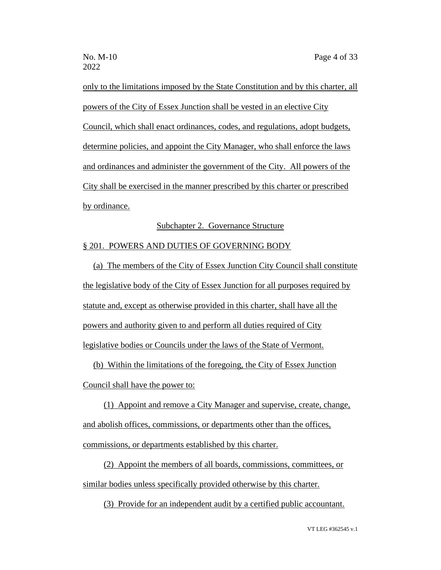only to the limitations imposed by the State Constitution and by this charter, all powers of the City of Essex Junction shall be vested in an elective City Council, which shall enact ordinances, codes, and regulations, adopt budgets, determine policies, and appoint the City Manager, who shall enforce the laws and ordinances and administer the government of the City. All powers of the City shall be exercised in the manner prescribed by this charter or prescribed by ordinance.

#### Subchapter 2. Governance Structure

# § 201. POWERS AND DUTIES OF GOVERNING BODY

(a) The members of the City of Essex Junction City Council shall constitute the legislative body of the City of Essex Junction for all purposes required by statute and, except as otherwise provided in this charter, shall have all the powers and authority given to and perform all duties required of City legislative bodies or Councils under the laws of the State of Vermont.

(b) Within the limitations of the foregoing, the City of Essex Junction Council shall have the power to:

(1) Appoint and remove a City Manager and supervise, create, change, and abolish offices, commissions, or departments other than the offices, commissions, or departments established by this charter.

(2) Appoint the members of all boards, commissions, committees, or similar bodies unless specifically provided otherwise by this charter.

(3) Provide for an independent audit by a certified public accountant.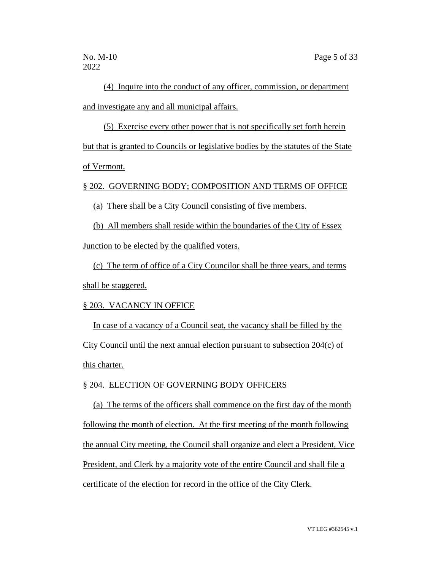(4) Inquire into the conduct of any officer, commission, or department and investigate any and all municipal affairs.

(5) Exercise every other power that is not specifically set forth herein but that is granted to Councils or legislative bodies by the statutes of the State of Vermont.

§ 202. GOVERNING BODY; COMPOSITION AND TERMS OF OFFICE

(a) There shall be a City Council consisting of five members.

(b) All members shall reside within the boundaries of the City of Essex Junction to be elected by the qualified voters.

(c) The term of office of a City Councilor shall be three years, and terms shall be staggered.

#### § 203. VACANCY IN OFFICE

In case of a vacancy of a Council seat, the vacancy shall be filled by the City Council until the next annual election pursuant to subsection 204(c) of this charter.

# § 204. ELECTION OF GOVERNING BODY OFFICERS

(a) The terms of the officers shall commence on the first day of the month following the month of election. At the first meeting of the month following the annual City meeting, the Council shall organize and elect a President, Vice President, and Clerk by a majority vote of the entire Council and shall file a certificate of the election for record in the office of the City Clerk.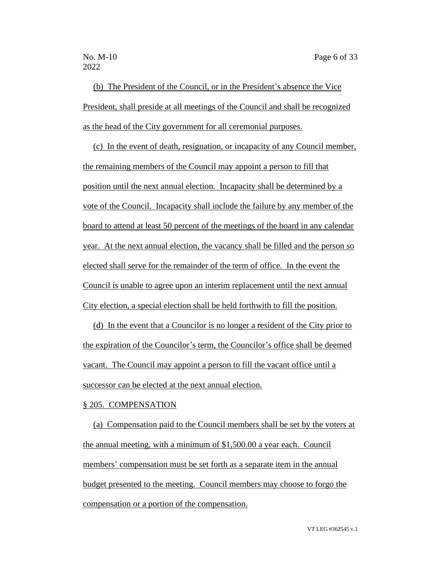(b) The President of the Council, or in the President's absence the Vice President, shall preside at all meetings of the Council and shall be recognized as the head of the City government for all ceremonial purposes.

(c) In the event of death, resignation, or incapacity of any Council member, the remaining members of the Council may appoint a person to fill that position until the next annual election. Incapacity shall be determined by a vote of the Council. Incapacity shall include the failure by any member of the board to attend at least 50 percent of the meetings of the board in any calendar year. At the next annual election, the vacancy shall be filled and the person so elected shall serve for the remainder of the term of office. In the event the Council is unable to agree upon an interim replacement until the next annual City election, a special election shall be held forthwith to fill the position.

(d) In the event that a Councilor is no longer a resident of the City prior to the expiration of the Councilor's term, the Councilor's office shall be deemed vacant. The Council may appoint a person to fill the vacant office until a successor can be elected at the next annual election.

#### § 205. COMPENSATION

(a) Compensation paid to the Council members shall be set by the voters at the annual meeting, with a minimum of \$1,500.00 a year each. Council members' compensation must be set forth as a separate item in the annual budget presented to the meeting. Council members may choose to forgo the compensation or a portion of the compensation.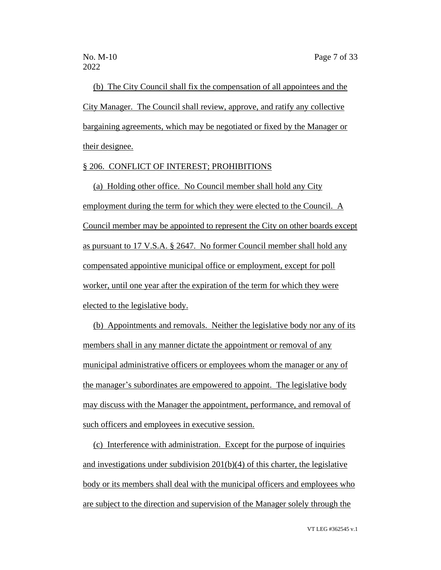(b) The City Council shall fix the compensation of all appointees and the City Manager. The Council shall review, approve, and ratify any collective bargaining agreements, which may be negotiated or fixed by the Manager or their designee.

# § 206. CONFLICT OF INTEREST; PROHIBITIONS

(a) Holding other office. No Council member shall hold any City employment during the term for which they were elected to the Council. A Council member may be appointed to represent the City on other boards except as pursuant to 17 V.S.A. § 2647. No former Council member shall hold any compensated appointive municipal office or employment, except for poll worker, until one year after the expiration of the term for which they were elected to the legislative body.

(b) Appointments and removals. Neither the legislative body nor any of its members shall in any manner dictate the appointment or removal of any municipal administrative officers or employees whom the manager or any of the manager's subordinates are empowered to appoint. The legislative body may discuss with the Manager the appointment, performance, and removal of such officers and employees in executive session.

(c) Interference with administration. Except for the purpose of inquiries and investigations under subdivision 201(b)(4) of this charter, the legislative body or its members shall deal with the municipal officers and employees who are subject to the direction and supervision of the Manager solely through the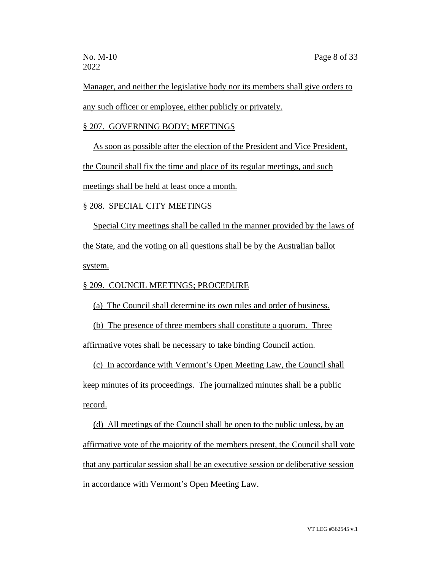Manager, and neither the legislative body nor its members shall give orders to any such officer or employee, either publicly or privately.

# § 207. GOVERNING BODY; MEETINGS

As soon as possible after the election of the President and Vice President,

the Council shall fix the time and place of its regular meetings, and such

meetings shall be held at least once a month.

# § 208. SPECIAL CITY MEETINGS

Special City meetings shall be called in the manner provided by the laws of the State, and the voting on all questions shall be by the Australian ballot system.

# § 209. COUNCIL MEETINGS; PROCEDURE

(a) The Council shall determine its own rules and order of business.

(b) The presence of three members shall constitute a quorum. Three affirmative votes shall be necessary to take binding Council action.

(c) In accordance with Vermont's Open Meeting Law, the Council shall keep minutes of its proceedings. The journalized minutes shall be a public record.

(d) All meetings of the Council shall be open to the public unless, by an affirmative vote of the majority of the members present, the Council shall vote that any particular session shall be an executive session or deliberative session in accordance with Vermont's Open Meeting Law.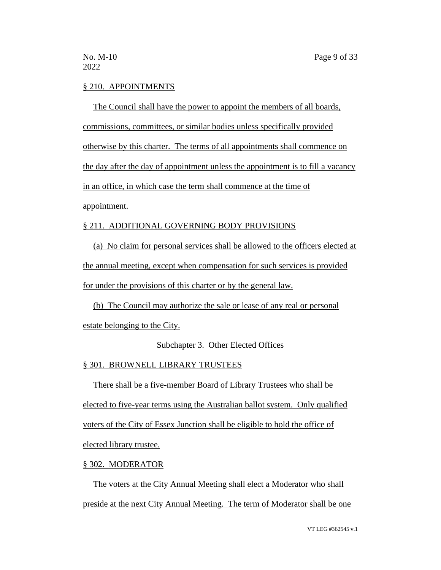# § 210. APPOINTMENTS

The Council shall have the power to appoint the members of all boards, commissions, committees, or similar bodies unless specifically provided otherwise by this charter. The terms of all appointments shall commence on the day after the day of appointment unless the appointment is to fill a vacancy in an office, in which case the term shall commence at the time of appointment.

#### § 211. ADDITIONAL GOVERNING BODY PROVISIONS

(a) No claim for personal services shall be allowed to the officers elected at the annual meeting, except when compensation for such services is provided for under the provisions of this charter or by the general law.

(b) The Council may authorize the sale or lease of any real or personal

estate belonging to the City.

# Subchapter 3. Other Elected Offices

#### § 301. BROWNELL LIBRARY TRUSTEES

There shall be a five-member Board of Library Trustees who shall be elected to five-year terms using the Australian ballot system. Only qualified voters of the City of Essex Junction shall be eligible to hold the office of elected library trustee.

# § 302. MODERATOR

The voters at the City Annual Meeting shall elect a Moderator who shall preside at the next City Annual Meeting. The term of Moderator shall be one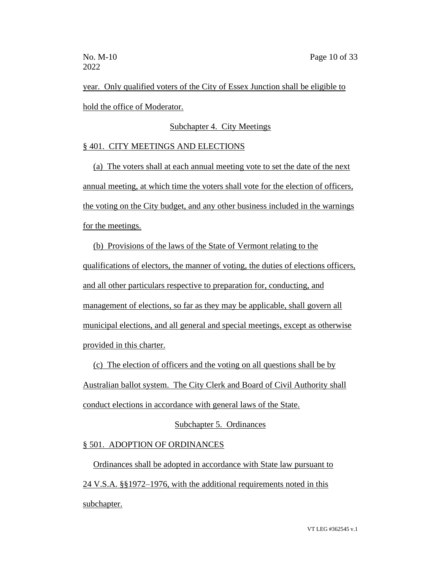year. Only qualified voters of the City of Essex Junction shall be eligible to hold the office of Moderator.

# Subchapter 4. City Meetings

# § 401. CITY MEETINGS AND ELECTIONS

(a) The voters shall at each annual meeting vote to set the date of the next annual meeting, at which time the voters shall vote for the election of officers, the voting on the City budget, and any other business included in the warnings for the meetings.

(b) Provisions of the laws of the State of Vermont relating to the qualifications of electors, the manner of voting, the duties of elections officers, and all other particulars respective to preparation for, conducting, and management of elections, so far as they may be applicable, shall govern all municipal elections, and all general and special meetings, except as otherwise provided in this charter.

(c) The election of officers and the voting on all questions shall be by Australian ballot system. The City Clerk and Board of Civil Authority shall conduct elections in accordance with general laws of the State.

# Subchapter 5. Ordinances

# § 501. ADOPTION OF ORDINANCES

Ordinances shall be adopted in accordance with State law pursuant to 24 V.S.A. §§1972–1976, with the additional requirements noted in this subchapter.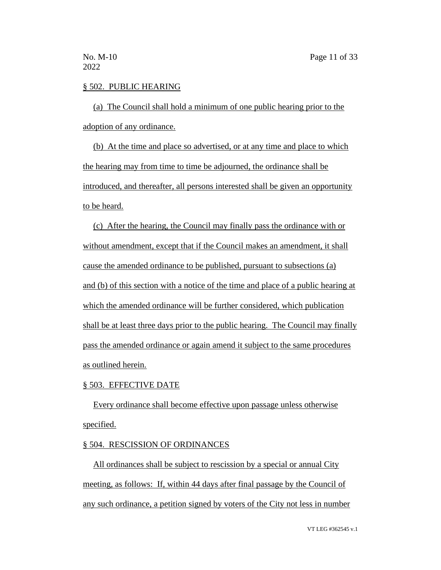# § 502. PUBLIC HEARING

(a) The Council shall hold a minimum of one public hearing prior to the adoption of any ordinance.

(b) At the time and place so advertised, or at any time and place to which the hearing may from time to time be adjourned, the ordinance shall be introduced, and thereafter, all persons interested shall be given an opportunity to be heard.

(c) After the hearing, the Council may finally pass the ordinance with or without amendment, except that if the Council makes an amendment, it shall cause the amended ordinance to be published, pursuant to subsections (a) and (b) of this section with a notice of the time and place of a public hearing at which the amended ordinance will be further considered, which publication shall be at least three days prior to the public hearing. The Council may finally pass the amended ordinance or again amend it subject to the same procedures as outlined herein.

#### § 503. EFFECTIVE DATE

Every ordinance shall become effective upon passage unless otherwise specified.

#### § 504. RESCISSION OF ORDINANCES

All ordinances shall be subject to rescission by a special or annual City meeting, as follows: If, within 44 days after final passage by the Council of any such ordinance, a petition signed by voters of the City not less in number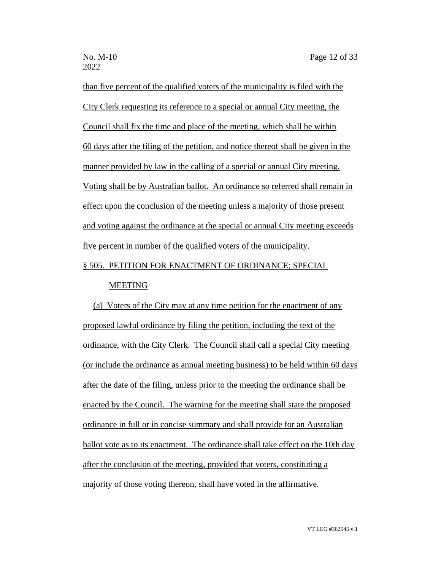than five percent of the qualified voters of the municipality is filed with the City Clerk requesting its reference to a special or annual City meeting, the Council shall fix the time and place of the meeting, which shall be within 60 days after the filing of the petition, and notice thereof shall be given in the manner provided by law in the calling of a special or annual City meeting. Voting shall be by Australian ballot. An ordinance so referred shall remain in effect upon the conclusion of the meeting unless a majority of those present and voting against the ordinance at the special or annual City meeting exceeds five percent in number of the qualified voters of the municipality.

# § 505. PETITION FOR ENACTMENT OF ORDINANCE; SPECIAL MEETING

(a) Voters of the City may at any time petition for the enactment of any proposed lawful ordinance by filing the petition, including the text of the ordinance, with the City Clerk. The Council shall call a special City meeting (or include the ordinance as annual meeting business) to be held within 60 days after the date of the filing, unless prior to the meeting the ordinance shall be enacted by the Council. The warning for the meeting shall state the proposed ordinance in full or in concise summary and shall provide for an Australian ballot vote as to its enactment. The ordinance shall take effect on the 10th day after the conclusion of the meeting, provided that voters, constituting a majority of those voting thereon, shall have voted in the affirmative.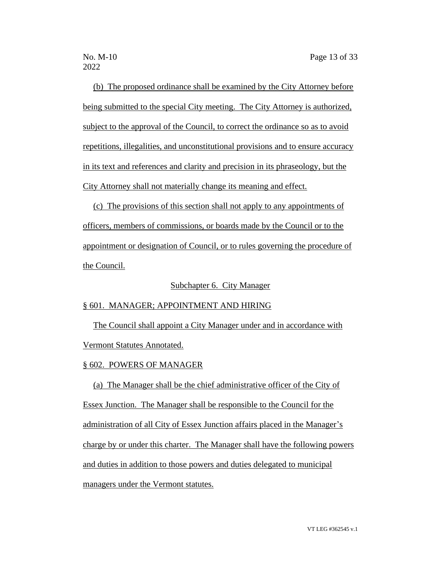(b) The proposed ordinance shall be examined by the City Attorney before being submitted to the special City meeting. The City Attorney is authorized, subject to the approval of the Council, to correct the ordinance so as to avoid repetitions, illegalities, and unconstitutional provisions and to ensure accuracy in its text and references and clarity and precision in its phraseology, but the City Attorney shall not materially change its meaning and effect.

(c) The provisions of this section shall not apply to any appointments of officers, members of commissions, or boards made by the Council or to the appointment or designation of Council, or to rules governing the procedure of the Council.

# Subchapter 6. City Manager

# § 601. MANAGER; APPOINTMENT AND HIRING

The Council shall appoint a City Manager under and in accordance with Vermont Statutes Annotated.

#### § 602. POWERS OF MANAGER

(a) The Manager shall be the chief administrative officer of the City of Essex Junction. The Manager shall be responsible to the Council for the administration of all City of Essex Junction affairs placed in the Manager's charge by or under this charter. The Manager shall have the following powers and duties in addition to those powers and duties delegated to municipal managers under the Vermont statutes.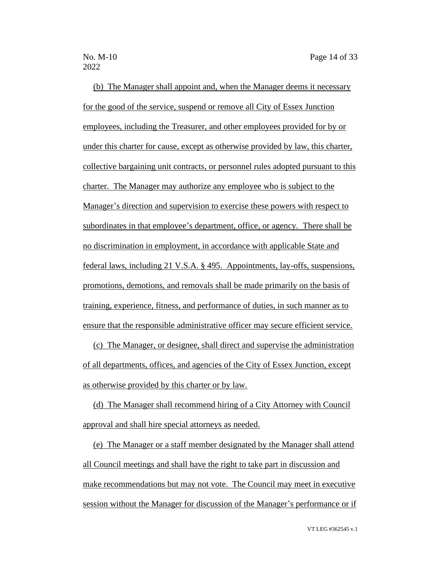2022

(b) The Manager shall appoint and, when the Manager deems it necessary for the good of the service, suspend or remove all City of Essex Junction employees, including the Treasurer, and other employees provided for by or under this charter for cause, except as otherwise provided by law, this charter, collective bargaining unit contracts, or personnel rules adopted pursuant to this charter. The Manager may authorize any employee who is subject to the Manager's direction and supervision to exercise these powers with respect to subordinates in that employee's department, office, or agency. There shall be no discrimination in employment, in accordance with applicable State and federal laws, including 21 V.S.A. § 495. Appointments, lay-offs, suspensions, promotions, demotions, and removals shall be made primarily on the basis of training, experience, fitness, and performance of duties, in such manner as to ensure that the responsible administrative officer may secure efficient service.

(c) The Manager, or designee, shall direct and supervise the administration of all departments, offices, and agencies of the City of Essex Junction, except as otherwise provided by this charter or by law.

(d) The Manager shall recommend hiring of a City Attorney with Council approval and shall hire special attorneys as needed.

(e) The Manager or a staff member designated by the Manager shall attend all Council meetings and shall have the right to take part in discussion and make recommendations but may not vote. The Council may meet in executive session without the Manager for discussion of the Manager's performance or if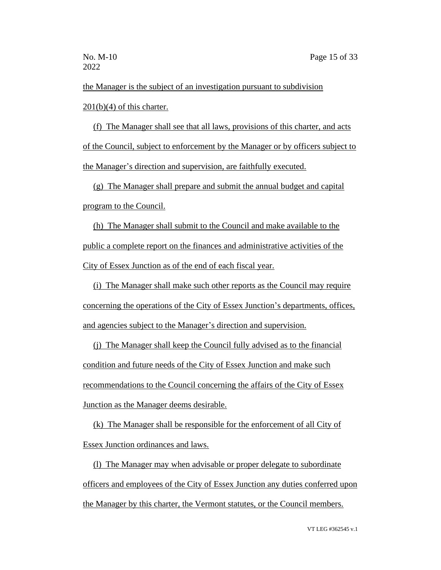the Manager is the subject of an investigation pursuant to subdivision  $201(b)(4)$  of this charter.

(f) The Manager shall see that all laws, provisions of this charter, and acts of the Council, subject to enforcement by the Manager or by officers subject to the Manager's direction and supervision, are faithfully executed.

(g) The Manager shall prepare and submit the annual budget and capital program to the Council.

(h) The Manager shall submit to the Council and make available to the public a complete report on the finances and administrative activities of the City of Essex Junction as of the end of each fiscal year.

(i) The Manager shall make such other reports as the Council may require concerning the operations of the City of Essex Junction's departments, offices, and agencies subject to the Manager's direction and supervision.

(j) The Manager shall keep the Council fully advised as to the financial condition and future needs of the City of Essex Junction and make such recommendations to the Council concerning the affairs of the City of Essex Junction as the Manager deems desirable.

(k) The Manager shall be responsible for the enforcement of all City of Essex Junction ordinances and laws.

(l) The Manager may when advisable or proper delegate to subordinate officers and employees of the City of Essex Junction any duties conferred upon the Manager by this charter, the Vermont statutes, or the Council members.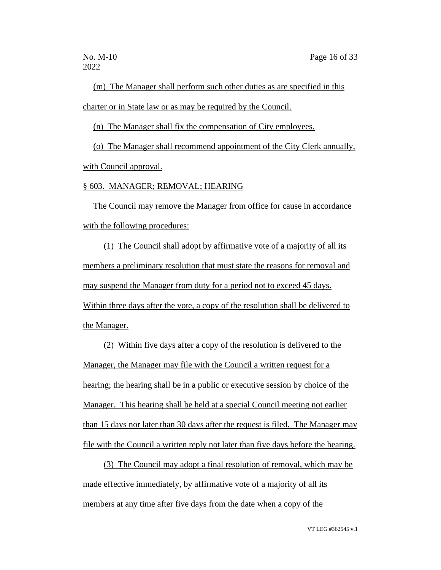(m) The Manager shall perform such other duties as are specified in this charter or in State law or as may be required by the Council.

(n) The Manager shall fix the compensation of City employees.

(o) The Manager shall recommend appointment of the City Clerk annually, with Council approval.

§ 603. MANAGER; REMOVAL; HEARING

The Council may remove the Manager from office for cause in accordance with the following procedures:

(1) The Council shall adopt by affirmative vote of a majority of all its members a preliminary resolution that must state the reasons for removal and may suspend the Manager from duty for a period not to exceed 45 days. Within three days after the vote, a copy of the resolution shall be delivered to the Manager.

(2) Within five days after a copy of the resolution is delivered to the Manager, the Manager may file with the Council a written request for a hearing; the hearing shall be in a public or executive session by choice of the Manager. This hearing shall be held at a special Council meeting not earlier than 15 days nor later than 30 days after the request is filed. The Manager may file with the Council a written reply not later than five days before the hearing.

(3) The Council may adopt a final resolution of removal, which may be made effective immediately, by affirmative vote of a majority of all its members at any time after five days from the date when a copy of the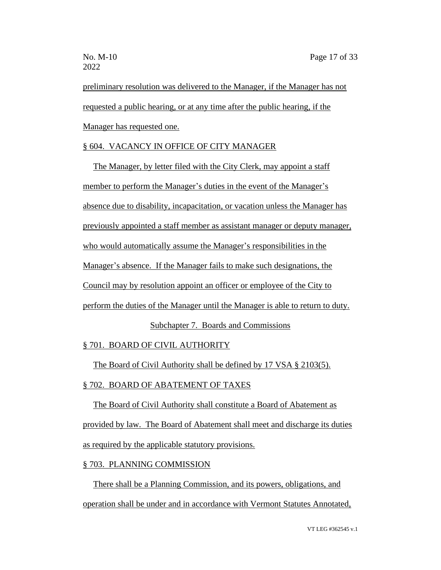preliminary resolution was delivered to the Manager, if the Manager has not requested a public hearing, or at any time after the public hearing, if the Manager has requested one.

# § 604. VACANCY IN OFFICE OF CITY MANAGER

The Manager, by letter filed with the City Clerk, may appoint a staff member to perform the Manager's duties in the event of the Manager's absence due to disability, incapacitation, or vacation unless the Manager has previously appointed a staff member as assistant manager or deputy manager, who would automatically assume the Manager's responsibilities in the Manager's absence. If the Manager fails to make such designations, the Council may by resolution appoint an officer or employee of the City to perform the duties of the Manager until the Manager is able to return to duty.

# Subchapter 7. Boards and Commissions

# § 701. BOARD OF CIVIL AUTHORITY

The Board of Civil Authority shall be defined by 17 VSA § 2103(5).

# § 702. BOARD OF ABATEMENT OF TAXES

The Board of Civil Authority shall constitute a Board of Abatement as provided by law. The Board of Abatement shall meet and discharge its duties as required by the applicable statutory provisions.

#### § 703. PLANNING COMMISSION

There shall be a Planning Commission, and its powers, obligations, and operation shall be under and in accordance with Vermont Statutes Annotated,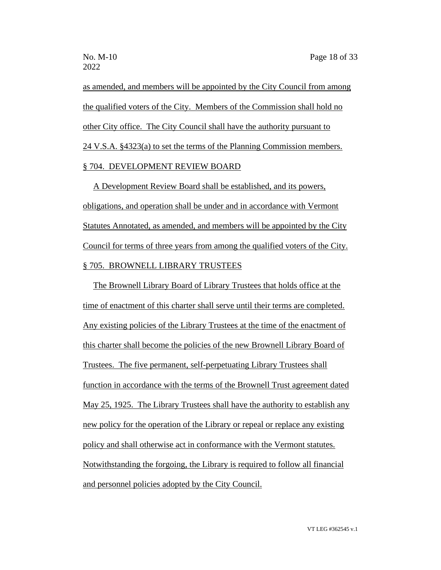as amended, and members will be appointed by the City Council from among the qualified voters of the City. Members of the Commission shall hold no other City office. The City Council shall have the authority pursuant to 24 V.S.A. §4323(a) to set the terms of the Planning Commission members. § 704. DEVELOPMENT REVIEW BOARD

A Development Review Board shall be established, and its powers, obligations, and operation shall be under and in accordance with Vermont Statutes Annotated, as amended, and members will be appointed by the City Council for terms of three years from among the qualified voters of the City. § 705. BROWNELL LIBRARY TRUSTEES

The Brownell Library Board of Library Trustees that holds office at the time of enactment of this charter shall serve until their terms are completed. Any existing policies of the Library Trustees at the time of the enactment of this charter shall become the policies of the new Brownell Library Board of Trustees. The five permanent, self-perpetuating Library Trustees shall function in accordance with the terms of the Brownell Trust agreement dated May 25, 1925. The Library Trustees shall have the authority to establish any new policy for the operation of the Library or repeal or replace any existing policy and shall otherwise act in conformance with the Vermont statutes. Notwithstanding the forgoing, the Library is required to follow all financial and personnel policies adopted by the City Council.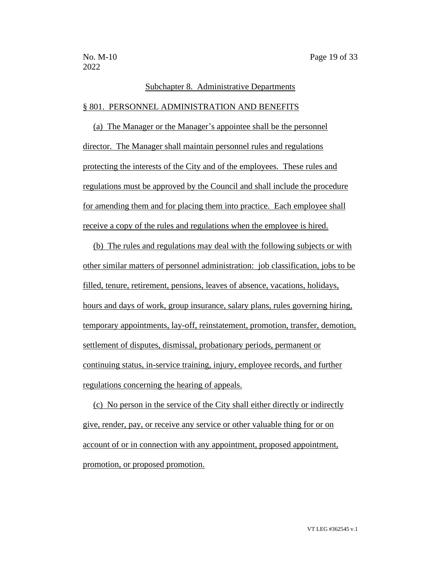#### Subchapter 8. Administrative Departments

#### § 801. PERSONNEL ADMINISTRATION AND BENEFITS

(a) The Manager or the Manager's appointee shall be the personnel director. The Manager shall maintain personnel rules and regulations protecting the interests of the City and of the employees. These rules and regulations must be approved by the Council and shall include the procedure for amending them and for placing them into practice. Each employee shall receive a copy of the rules and regulations when the employee is hired.

(b) The rules and regulations may deal with the following subjects or with other similar matters of personnel administration: job classification, jobs to be filled, tenure, retirement, pensions, leaves of absence, vacations, holidays, hours and days of work, group insurance, salary plans, rules governing hiring, temporary appointments, lay-off, reinstatement, promotion, transfer, demotion, settlement of disputes, dismissal, probationary periods, permanent or continuing status, in-service training, injury, employee records, and further regulations concerning the hearing of appeals.

(c) No person in the service of the City shall either directly or indirectly give, render, pay, or receive any service or other valuable thing for or on account of or in connection with any appointment, proposed appointment, promotion, or proposed promotion.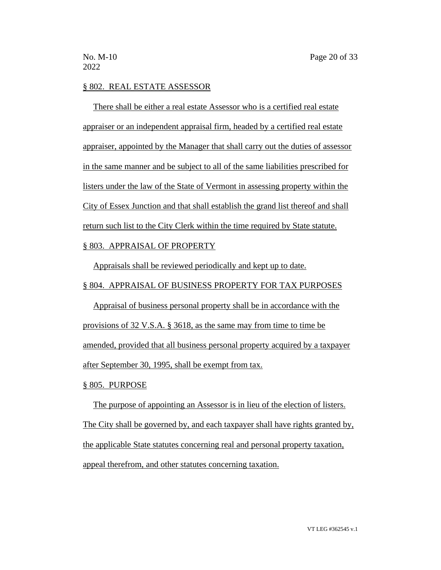#### § 802. REAL ESTATE ASSESSOR

There shall be either a real estate Assessor who is a certified real estate appraiser or an independent appraisal firm, headed by a certified real estate appraiser, appointed by the Manager that shall carry out the duties of assessor in the same manner and be subject to all of the same liabilities prescribed for listers under the law of the State of Vermont in assessing property within the City of Essex Junction and that shall establish the grand list thereof and shall return such list to the City Clerk within the time required by State statute.

# § 803. APPRAISAL OF PROPERTY

Appraisals shall be reviewed periodically and kept up to date.

# § 804. APPRAISAL OF BUSINESS PROPERTY FOR TAX PURPOSES

Appraisal of business personal property shall be in accordance with the provisions of 32 V.S.A. § 3618, as the same may from time to time be amended, provided that all business personal property acquired by a taxpayer after September 30, 1995, shall be exempt from tax.

#### § 805. PURPOSE

The purpose of appointing an Assessor is in lieu of the election of listers. The City shall be governed by, and each taxpayer shall have rights granted by, the applicable State statutes concerning real and personal property taxation, appeal therefrom, and other statutes concerning taxation.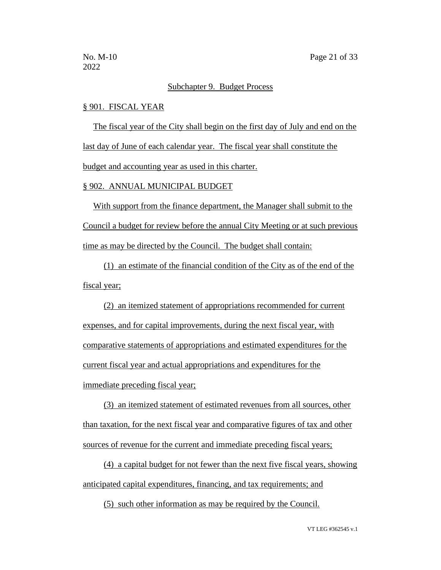# Subchapter 9. Budget Process

#### § 901. FISCAL YEAR

The fiscal year of the City shall begin on the first day of July and end on the last day of June of each calendar year. The fiscal year shall constitute the budget and accounting year as used in this charter.

#### § 902. ANNUAL MUNICIPAL BUDGET

With support from the finance department, the Manager shall submit to the Council a budget for review before the annual City Meeting or at such previous time as may be directed by the Council. The budget shall contain:

(1) an estimate of the financial condition of the City as of the end of the fiscal year;

(2) an itemized statement of appropriations recommended for current expenses, and for capital improvements, during the next fiscal year, with comparative statements of appropriations and estimated expenditures for the current fiscal year and actual appropriations and expenditures for the immediate preceding fiscal year;

(3) an itemized statement of estimated revenues from all sources, other than taxation, for the next fiscal year and comparative figures of tax and other sources of revenue for the current and immediate preceding fiscal years;

(4) a capital budget for not fewer than the next five fiscal years, showing anticipated capital expenditures, financing, and tax requirements; and

(5) such other information as may be required by the Council.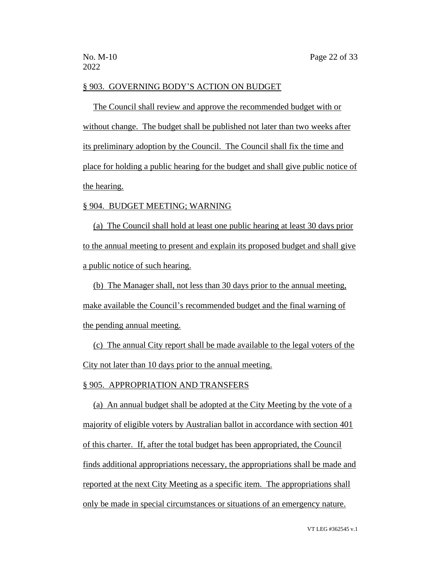#### § 903. GOVERNING BODY'S ACTION ON BUDGET

The Council shall review and approve the recommended budget with or without change. The budget shall be published not later than two weeks after its preliminary adoption by the Council. The Council shall fix the time and place for holding a public hearing for the budget and shall give public notice of the hearing.

#### § 904. BUDGET MEETING; WARNING

(a) The Council shall hold at least one public hearing at least 30 days prior to the annual meeting to present and explain its proposed budget and shall give a public notice of such hearing.

(b) The Manager shall, not less than 30 days prior to the annual meeting, make available the Council's recommended budget and the final warning of the pending annual meeting.

(c) The annual City report shall be made available to the legal voters of the City not later than 10 days prior to the annual meeting.

#### § 905. APPROPRIATION AND TRANSFERS

(a) An annual budget shall be adopted at the City Meeting by the vote of a majority of eligible voters by Australian ballot in accordance with section 401 of this charter. If, after the total budget has been appropriated, the Council finds additional appropriations necessary, the appropriations shall be made and reported at the next City Meeting as a specific item. The appropriations shall only be made in special circumstances or situations of an emergency nature.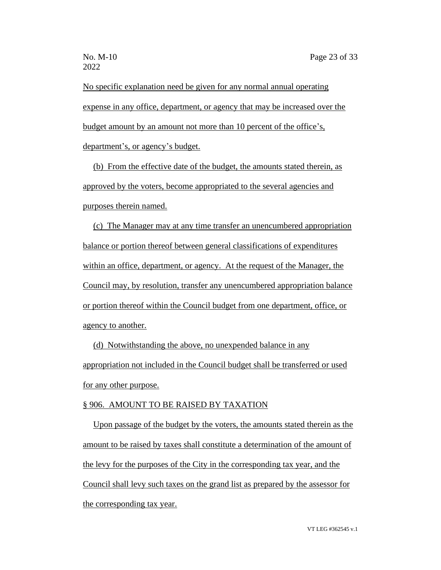No specific explanation need be given for any normal annual operating expense in any office, department, or agency that may be increased over the budget amount by an amount not more than 10 percent of the office's, department's, or agency's budget.

(b) From the effective date of the budget, the amounts stated therein, as approved by the voters, become appropriated to the several agencies and purposes therein named.

(c) The Manager may at any time transfer an unencumbered appropriation balance or portion thereof between general classifications of expenditures within an office, department, or agency. At the request of the Manager, the Council may, by resolution, transfer any unencumbered appropriation balance or portion thereof within the Council budget from one department, office, or agency to another.

(d) Notwithstanding the above, no unexpended balance in any appropriation not included in the Council budget shall be transferred or used for any other purpose.

#### § 906. AMOUNT TO BE RAISED BY TAXATION

Upon passage of the budget by the voters, the amounts stated therein as the amount to be raised by taxes shall constitute a determination of the amount of the levy for the purposes of the City in the corresponding tax year, and the Council shall levy such taxes on the grand list as prepared by the assessor for the corresponding tax year.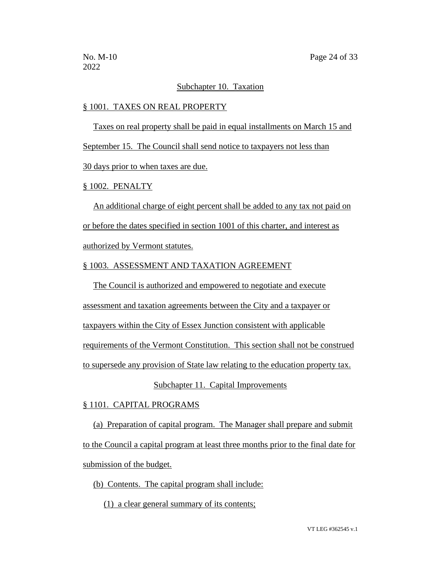#### Subchapter 10. Taxation

#### § 1001. TAXES ON REAL PROPERTY

Taxes on real property shall be paid in equal installments on March 15 and September 15. The Council shall send notice to taxpayers not less than 30 days prior to when taxes are due.

# § 1002. PENALTY

An additional charge of eight percent shall be added to any tax not paid on or before the dates specified in section 1001 of this charter, and interest as authorized by Vermont statutes.

#### § 1003. ASSESSMENT AND TAXATION AGREEMENT

The Council is authorized and empowered to negotiate and execute assessment and taxation agreements between the City and a taxpayer or taxpayers within the City of Essex Junction consistent with applicable requirements of the Vermont Constitution. This section shall not be construed to supersede any provision of State law relating to the education property tax.

#### Subchapter 11. Capital Improvements

#### § 1101. CAPITAL PROGRAMS

(a) Preparation of capital program. The Manager shall prepare and submit to the Council a capital program at least three months prior to the final date for submission of the budget.

#### (b) Contents. The capital program shall include:

(1) a clear general summary of its contents;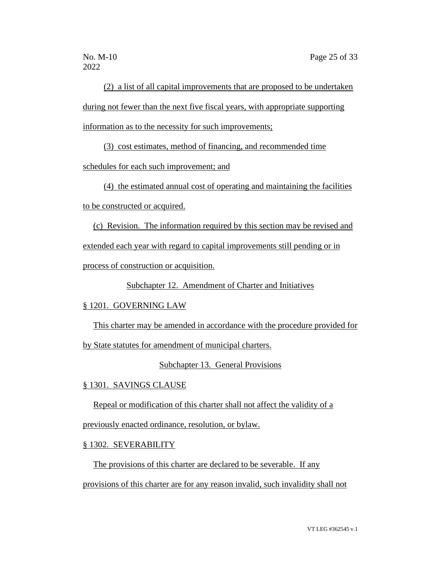2022

(2) a list of all capital improvements that are proposed to be undertaken during not fewer than the next five fiscal years, with appropriate supporting information as to the necessity for such improvements;

(3) cost estimates, method of financing, and recommended time

schedules for each such improvement; and

(4) the estimated annual cost of operating and maintaining the facilities

to be constructed or acquired.

(c) Revision. The information required by this section may be revised and extended each year with regard to capital improvements still pending or in process of construction or acquisition.

Subchapter 12. Amendment of Charter and Initiatives

§ 1201. GOVERNING LAW

This charter may be amended in accordance with the procedure provided for

by State statutes for amendment of municipal charters.

Subchapter 13. General Provisions

§ 1301. SAVINGS CLAUSE

Repeal or modification of this charter shall not affect the validity of a

previously enacted ordinance, resolution, or bylaw.

§ 1302. SEVERABILITY

The provisions of this charter are declared to be severable. If any provisions of this charter are for any reason invalid, such invalidity shall not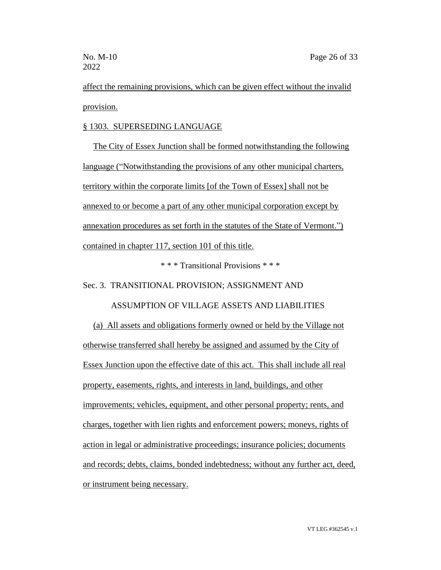affect the remaining provisions, which can be given effect without the invalid provision.

# § 1303. SUPERSEDING LANGUAGE

The City of Essex Junction shall be formed notwithstanding the following language ("Notwithstanding the provisions of any other municipal charters, territory within the corporate limits [of the Town of Essex] shall not be annexed to or become a part of any other municipal corporation except by annexation procedures as set forth in the statutes of the State of Vermont.") contained in chapter 117, section 101 of this title.

\* \* \* Transitional Provisions \* \* \*

Sec. 3. TRANSITIONAL PROVISION; ASSIGNMENT AND

ASSUMPTION OF VILLAGE ASSETS AND LIABILITIES

(a) All assets and obligations formerly owned or held by the Village not otherwise transferred shall hereby be assigned and assumed by the City of Essex Junction upon the effective date of this act. This shall include all real property, easements, rights, and interests in land, buildings, and other improvements; vehicles, equipment, and other personal property; rents, and charges, together with lien rights and enforcement powers; moneys, rights of action in legal or administrative proceedings; insurance policies; documents and records; debts, claims, bonded indebtedness; without any further act, deed, or instrument being necessary.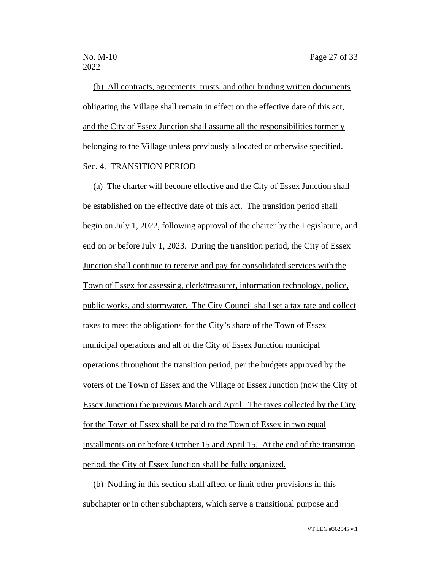(b) All contracts, agreements, trusts, and other binding written documents obligating the Village shall remain in effect on the effective date of this act, and the City of Essex Junction shall assume all the responsibilities formerly belonging to the Village unless previously allocated or otherwise specified. Sec. 4. TRANSITION PERIOD

(a) The charter will become effective and the City of Essex Junction shall be established on the effective date of this act. The transition period shall begin on July 1, 2022, following approval of the charter by the Legislature, and end on or before July 1, 2023. During the transition period, the City of Essex Junction shall continue to receive and pay for consolidated services with the Town of Essex for assessing, clerk/treasurer, information technology, police, public works, and stormwater. The City Council shall set a tax rate and collect taxes to meet the obligations for the City's share of the Town of Essex municipal operations and all of the City of Essex Junction municipal operations throughout the transition period, per the budgets approved by the voters of the Town of Essex and the Village of Essex Junction (now the City of Essex Junction) the previous March and April. The taxes collected by the City for the Town of Essex shall be paid to the Town of Essex in two equal installments on or before October 15 and April 15. At the end of the transition period, the City of Essex Junction shall be fully organized.

(b) Nothing in this section shall affect or limit other provisions in this subchapter or in other subchapters, which serve a transitional purpose and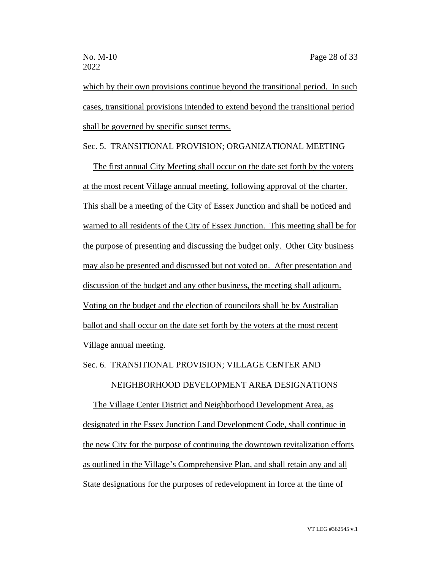which by their own provisions continue beyond the transitional period. In such cases, transitional provisions intended to extend beyond the transitional period shall be governed by specific sunset terms.

# Sec. 5. TRANSITIONAL PROVISION; ORGANIZATIONAL MEETING

The first annual City Meeting shall occur on the date set forth by the voters at the most recent Village annual meeting, following approval of the charter. This shall be a meeting of the City of Essex Junction and shall be noticed and warned to all residents of the City of Essex Junction. This meeting shall be for the purpose of presenting and discussing the budget only. Other City business may also be presented and discussed but not voted on. After presentation and discussion of the budget and any other business, the meeting shall adjourn. Voting on the budget and the election of councilors shall be by Australian ballot and shall occur on the date set forth by the voters at the most recent Village annual meeting.

# Sec. 6. TRANSITIONAL PROVISION; VILLAGE CENTER AND NEIGHBORHOOD DEVELOPMENT AREA DESIGNATIONS

The Village Center District and Neighborhood Development Area, as designated in the Essex Junction Land Development Code, shall continue in the new City for the purpose of continuing the downtown revitalization efforts as outlined in the Village's Comprehensive Plan, and shall retain any and all State designations for the purposes of redevelopment in force at the time of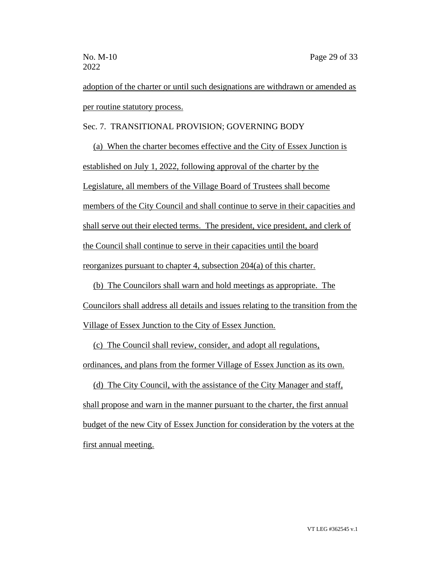adoption of the charter or until such designations are withdrawn or amended as per routine statutory process.

Sec. 7. TRANSITIONAL PROVISION; GOVERNING BODY

(a) When the charter becomes effective and the City of Essex Junction is established on July 1, 2022, following approval of the charter by the Legislature, all members of the Village Board of Trustees shall become members of the City Council and shall continue to serve in their capacities and shall serve out their elected terms. The president, vice president, and clerk of the Council shall continue to serve in their capacities until the board reorganizes pursuant to chapter 4, subsection 204(a) of this charter.

(b) The Councilors shall warn and hold meetings as appropriate. The Councilors shall address all details and issues relating to the transition from the Village of Essex Junction to the City of Essex Junction.

(c) The Council shall review, consider, and adopt all regulations, ordinances, and plans from the former Village of Essex Junction as its own.

(d) The City Council, with the assistance of the City Manager and staff, shall propose and warn in the manner pursuant to the charter, the first annual budget of the new City of Essex Junction for consideration by the voters at the first annual meeting.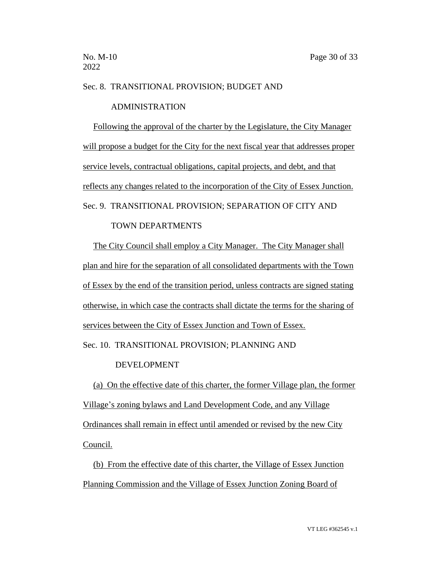#### Sec. 8. TRANSITIONAL PROVISION; BUDGET AND

## ADMINISTRATION

Following the approval of the charter by the Legislature, the City Manager will propose a budget for the City for the next fiscal year that addresses proper service levels, contractual obligations, capital projects, and debt, and that reflects any changes related to the incorporation of the City of Essex Junction. Sec. 9. TRANSITIONAL PROVISION; SEPARATION OF CITY AND

# TOWN DEPARTMENTS

The City Council shall employ a City Manager. The City Manager shall plan and hire for the separation of all consolidated departments with the Town of Essex by the end of the transition period, unless contracts are signed stating otherwise, in which case the contracts shall dictate the terms for the sharing of services between the City of Essex Junction and Town of Essex.

# Sec. 10. TRANSITIONAL PROVISION; PLANNING AND

#### DEVELOPMENT

(a) On the effective date of this charter, the former Village plan, the former Village's zoning bylaws and Land Development Code, and any Village Ordinances shall remain in effect until amended or revised by the new City Council.

(b) From the effective date of this charter, the Village of Essex Junction Planning Commission and the Village of Essex Junction Zoning Board of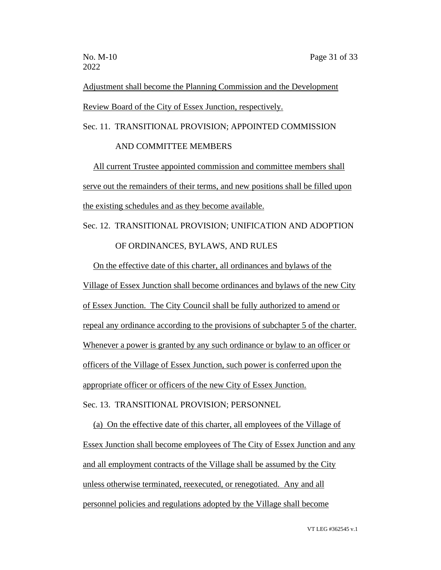Adjustment shall become the Planning Commission and the Development Review Board of the City of Essex Junction, respectively.

Sec. 11. TRANSITIONAL PROVISION; APPOINTED COMMISSION AND COMMITTEE MEMBERS

All current Trustee appointed commission and committee members shall serve out the remainders of their terms, and new positions shall be filled upon the existing schedules and as they become available.

# Sec. 12. TRANSITIONAL PROVISION; UNIFICATION AND ADOPTION OF ORDINANCES, BYLAWS, AND RULES

On the effective date of this charter, all ordinances and bylaws of the Village of Essex Junction shall become ordinances and bylaws of the new City of Essex Junction. The City Council shall be fully authorized to amend or repeal any ordinance according to the provisions of subchapter 5 of the charter. Whenever a power is granted by any such ordinance or bylaw to an officer or officers of the Village of Essex Junction, such power is conferred upon the appropriate officer or officers of the new City of Essex Junction. Sec. 13. TRANSITIONAL PROVISION; PERSONNEL

(a) On the effective date of this charter, all employees of the Village of Essex Junction shall become employees of The City of Essex Junction and any and all employment contracts of the Village shall be assumed by the City unless otherwise terminated, reexecuted, or renegotiated. Any and all personnel policies and regulations adopted by the Village shall become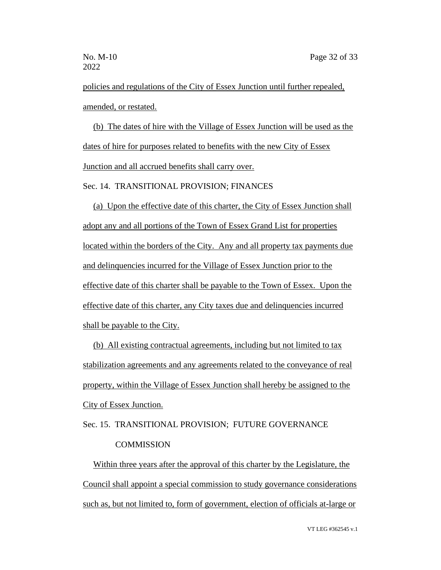policies and regulations of the City of Essex Junction until further repealed, amended, or restated.

(b) The dates of hire with the Village of Essex Junction will be used as the dates of hire for purposes related to benefits with the new City of Essex Junction and all accrued benefits shall carry over.

Sec. 14. TRANSITIONAL PROVISION; FINANCES

(a) Upon the effective date of this charter, the City of Essex Junction shall adopt any and all portions of the Town of Essex Grand List for properties located within the borders of the City. Any and all property tax payments due and delinquencies incurred for the Village of Essex Junction prior to the effective date of this charter shall be payable to the Town of Essex. Upon the effective date of this charter, any City taxes due and delinquencies incurred shall be payable to the City.

(b) All existing contractual agreements, including but not limited to tax stabilization agreements and any agreements related to the conveyance of real property, within the Village of Essex Junction shall hereby be assigned to the City of Essex Junction.

Sec. 15. TRANSITIONAL PROVISION; FUTURE GOVERNANCE **COMMISSION** 

Within three years after the approval of this charter by the Legislature, the Council shall appoint a special commission to study governance considerations such as, but not limited to, form of government, election of officials at-large or